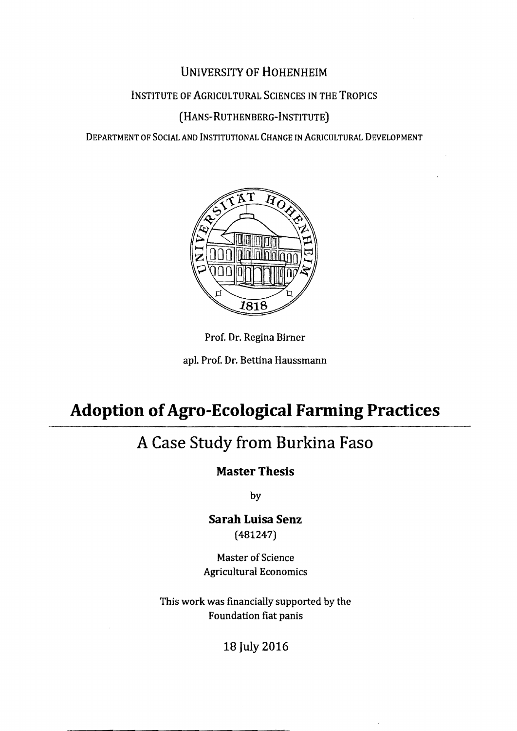### UNIVERSITY OF HOHENHEIM

### INSTITUTE OF AGRICULTURAL SCIENCES IN THE TROPICS

### (HANS-RUTHENBERG-INSTITUTE)

DEPARTMENT OF SOCIAL AND INSTITUTIONAL CHANGE IN AGRICULTURAL DEVELOPMENT





apl. Prof. Dr. Bettina Haussmann

# **Adoption ofAgro-Ecological Farming Practices**

## **A Case Study from Burkina Faso**

### **Master Thesis**

by

**Sarah Luisa Senz**  (481247)

Master of Science Agricultural Economics

This work was financially supported by the Foundation fiat panis

18 July 2016